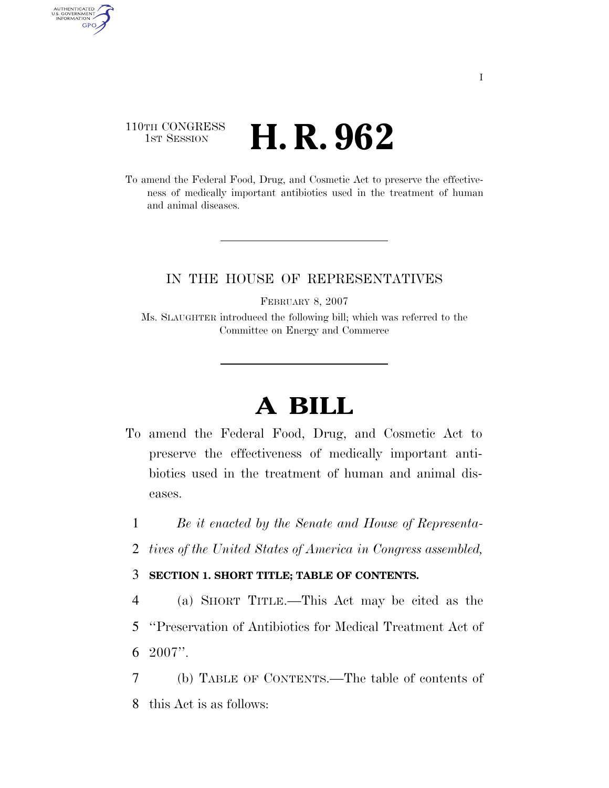### 110TH CONGRESS **1st Session H. R. 962**

AUTHENTICATED<br>U.S. GOVERNMENT<br>INFORMATION GPO

> To amend the Federal Food, Drug, and Cosmetic Act to preserve the effectiveness of medically important antibiotics used in the treatment of human and animal diseases.

### IN THE HOUSE OF REPRESENTATIVES

FEBRUARY 8, 2007

Ms. SLAUGHTER introduced the following bill; which was referred to the Committee on Energy and Commerce

# **A BILL**

- To amend the Federal Food, Drug, and Cosmetic Act to preserve the effectiveness of medically important antibiotics used in the treatment of human and animal diseases.
	- 1 *Be it enacted by the Senate and House of Representa-*
	- 2 *tives of the United States of America in Congress assembled,*

#### 3 **SECTION 1. SHORT TITLE; TABLE OF CONTENTS.**

- 4 (a) SHORT TITLE.—This Act may be cited as the 5 ''Preservation of Antibiotics for Medical Treatment Act of 6 2007''.
- 7 (b) TABLE OF CONTENTS.—The table of contents of 8 this Act is as follows: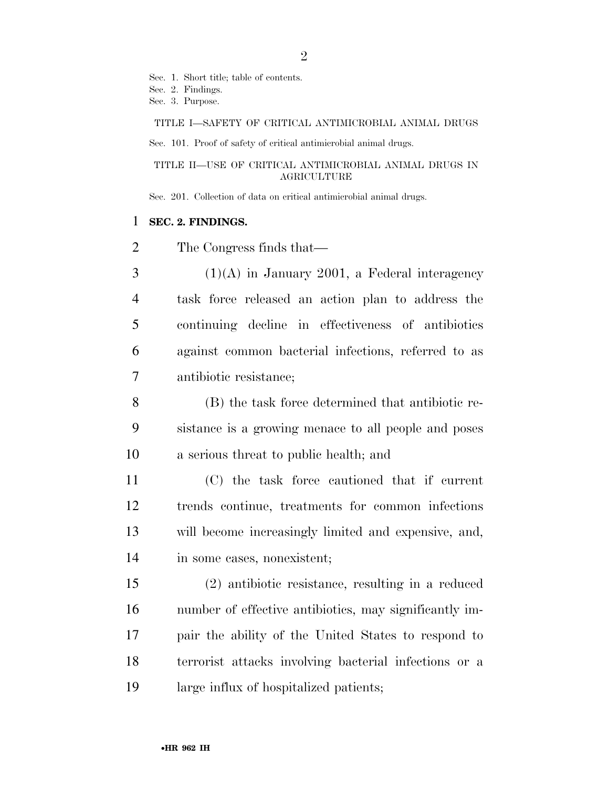Sec. 1. Short title; table of contents. Sec. 2. Findings. Sec. 3. Purpose.

TITLE I—SAFETY OF CRITICAL ANTIMICROBIAL ANIMAL DRUGS

Sec. 101. Proof of safety of critical antimicrobial animal drugs.

TITLE II—USE OF CRITICAL ANTIMICROBIAL ANIMAL DRUGS IN **AGRICULTURE** 

Sec. 201. Collection of data on critical antimicrobial animal drugs.

#### **SEC. 2. FINDINGS.**

The Congress finds that—

 (1)(A) in January 2001, a Federal interagency task force released an action plan to address the continuing decline in effectiveness of antibiotics against common bacterial infections, referred to as antibiotic resistance;

 (B) the task force determined that antibiotic re- sistance is a growing menace to all people and poses a serious threat to public health; and

 (C) the task force cautioned that if current trends continue, treatments for common infections will become increasingly limited and expensive, and, in some cases, nonexistent;

 (2) antibiotic resistance, resulting in a reduced number of effective antibiotics, may significantly im- pair the ability of the United States to respond to terrorist attacks involving bacterial infections or a large influx of hospitalized patients;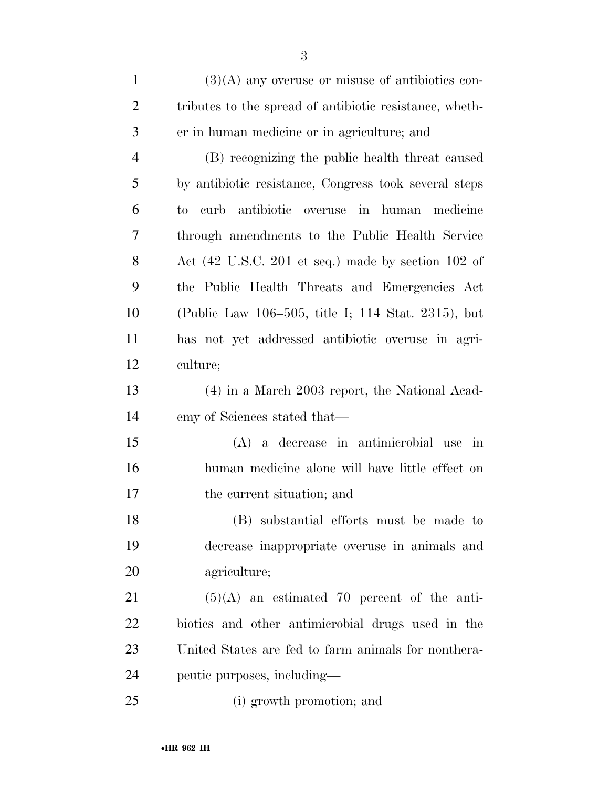(3)(A) any overuse or misuse of antibiotics con- tributes to the spread of antibiotic resistance, wheth-er in human medicine or in agriculture; and

 (B) recognizing the public health threat caused by antibiotic resistance, Congress took several steps to curb antibiotic overuse in human medicine through amendments to the Public Health Service Act (42 U.S.C. 201 et seq.) made by section 102 of the Public Health Threats and Emergencies Act (Public Law 106–505, title I; 114 Stat. 2315), but has not yet addressed antibiotic overuse in agri-culture;

 (4) in a March 2003 report, the National Acad-emy of Sciences stated that—

 (A) a decrease in antimicrobial use in human medicine alone will have little effect on the current situation; and

 (B) substantial efforts must be made to decrease inappropriate overuse in animals and agriculture;

 (5)(A) an estimated 70 percent of the anti- biotics and other antimicrobial drugs used in the United States are fed to farm animals for nonthera-peutic purposes, including—

(i) growth promotion; and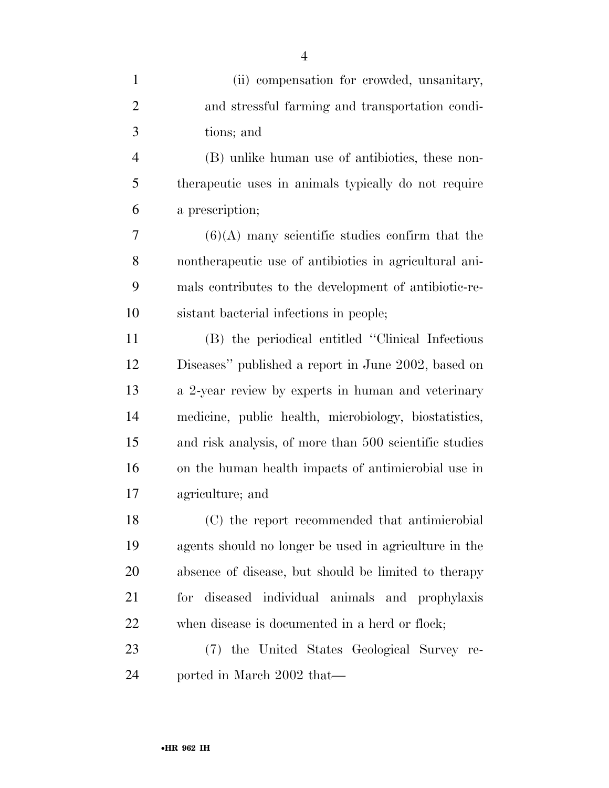| $\mathbf{1}$   | (ii) compensation for crowded, unsanitary,             |
|----------------|--------------------------------------------------------|
| $\overline{2}$ | and stressful farming and transportation condi-        |
| 3              | tions; and                                             |
| $\overline{4}$ | (B) unlike human use of antibiotics, these non-        |
| 5              | therapeutic uses in animals typically do not require   |
| 6              | a prescription;                                        |
| 7              | $(6)(A)$ many scientific studies confirm that the      |
| 8              | nontherapeutic use of antibiotics in agricultural ani- |
| 9              | mals contributes to the development of antibiotic-re-  |
| 10             | sistant bacterial infections in people;                |
| 11             | (B) the periodical entitled "Clinical Infectious"      |
| 12             | Diseases" published a report in June 2002, based on    |
| 13             | a 2-year review by experts in human and veterinary     |
| 14             | medicine, public health, microbiology, biostatistics,  |
| 15             | and risk analysis, of more than 500 scientific studies |
| 16             | on the human health impacts of antimicrobial use in    |
| 17             | agriculture; and                                       |
| 18             | (C) the report recommended that antimicrobial          |
| 19             | agents should no longer be used in agriculture in the  |
| 20             | absence of disease, but should be limited to the rapy  |
| 21             | for diseased individual animals and prophylaxis        |
| 22             | when disease is documented in a herd or flock;         |
| 23             | (7) the United States Geological Survey re-            |
| 24             | ported in March 2002 that—                             |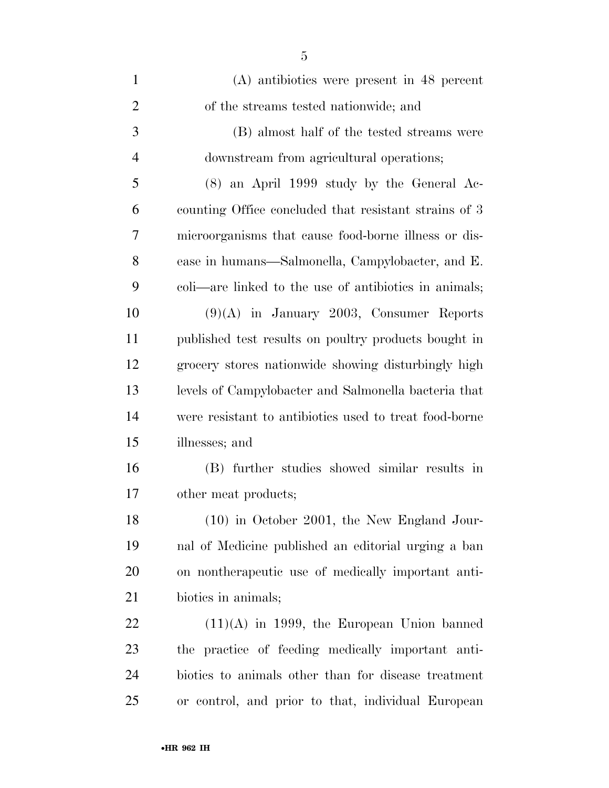| $\mathbf{1}$   | (A) antibiotics were present in 48 percent             |
|----------------|--------------------------------------------------------|
| $\overline{2}$ | of the streams tested nationwide; and                  |
| 3              | (B) almost half of the tested streams were             |
| $\overline{4}$ | downstream from agricultural operations;               |
| 5              | $(8)$ an April 1999 study by the General Ac-           |
| 6              | counting Office concluded that resistant strains of 3  |
| 7              | microorganisms that cause food-borne illness or dis-   |
| 8              | ease in humans—Salmonella, Campylobacter, and E.       |
| 9              | coli—are linked to the use of antibiotics in animals;  |
| 10             | $(9)(A)$ in January 2003, Consumer Reports             |
| 11             | published test results on poultry products bought in   |
| 12             | grocery stores nationwide showing disturbingly high    |
| 13             | levels of Campylobacter and Salmonella bacteria that   |
| 14             | were resistant to antibiotics used to treat food-borne |
| 15             | illnesses; and                                         |
| 16             | (B) further studies showed similar results in          |
| 17             | other meat products;                                   |
| 18             | (10) in October 2001, the New England Jour-            |
| 19             | nal of Medicine published an editorial urging a ban    |
| 20             | on nontherapeutic use of medically important anti-     |
| 21             | biotics in animals;                                    |
| 22             | $(11)(A)$ in 1999, the European Union banned           |
| 23             | the practice of feeding medically important anti-      |
| 24             | biotics to animals other than for disease treatment    |
| 25             | or control, and prior to that, individual European     |
|                |                                                        |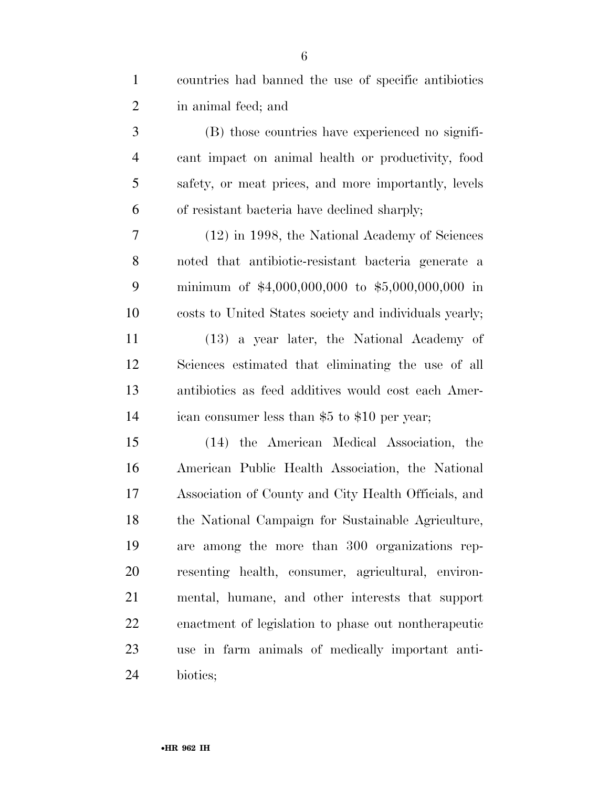| $\mathbf{1}$   | countries had banned the use of specific antibiotics   |
|----------------|--------------------------------------------------------|
| $\overline{2}$ | in animal feed; and                                    |
| 3              | (B) those countries have experienced no signifi-       |
| $\overline{4}$ | cant impact on animal health or productivity, food     |
| 5              | safety, or meat prices, and more importantly, levels   |
| 6              | of resistant bacteria have declined sharply;           |
| 7              | (12) in 1998, the National Academy of Sciences         |
| 8              | noted that antibiotic-resistant bacteria generate a    |
| 9              | minimum of $$4,000,000,000$ to $$5,000,000,000$ in     |
| 10             | costs to United States society and individuals yearly; |
| 11             | (13) a year later, the National Academy of             |
| 12             | Sciences estimated that eliminating the use of all     |
| 13             | antibiotics as feed additives would cost each Amer-    |
| 14             | ican consumer less than \$5 to \$10 per year;          |
| 15             | (14) the American Medical Association, the             |
| 16             | American Public Health Association, the National       |
| 17             | Association of County and City Health Officials, and   |
| 18             | the National Campaign for Sustainable Agriculture,     |
| 19             | are among the more than 300 organizations rep-         |
| 20             | resenting health, consumer, agricultural, environ-     |
| 21             | mental, humane, and other interests that support       |
| 22             | enactment of legislation to phase out nontherapeutic   |
| 23             | use in farm animals of medically important anti-       |
| 24             | biotics;                                               |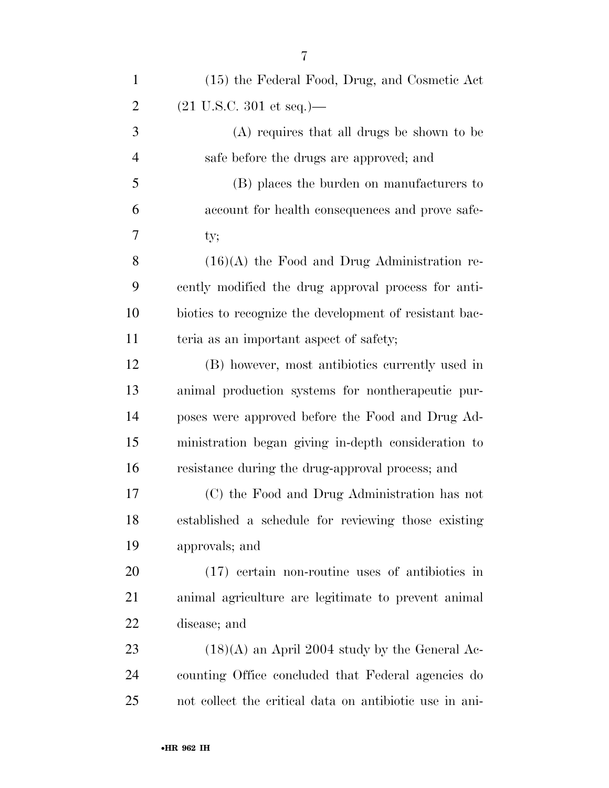| $\mathbf{1}$   | (15) the Federal Food, Drug, and Cosmetic Act           |
|----------------|---------------------------------------------------------|
| $\overline{2}$ | $(21 \text{ U.S.C. } 301 \text{ et seq.})$ —            |
| 3              | (A) requires that all drugs be shown to be              |
| $\overline{4}$ | safe before the drugs are approved; and                 |
| 5              | (B) places the burden on manufacturers to               |
| 6              | account for health consequences and prove safe-         |
| 7              | ty;                                                     |
| 8              | $(16)(A)$ the Food and Drug Administration re-          |
| 9              | cently modified the drug approval process for anti-     |
| 10             | biotics to recognize the development of resistant bac-  |
| 11             | teria as an important aspect of safety;                 |
| 12             | (B) however, most antibiotics currently used in         |
| 13             | animal production systems for nontherapeutic pur-       |
| 14             | poses were approved before the Food and Drug Ad-        |
| 15             | ministration began giving in-depth consideration to     |
| 16             | resistance during the drug-approval process; and        |
| 17             | (C) the Food and Drug Administration has not            |
| 18             | established a schedule for reviewing those existing     |
| 19             | approvals; and                                          |
| 20             | $(17)$ certain non-routine uses of antibiotics in       |
| 21             | animal agriculture are legitimate to prevent animal     |
| <u>22</u>      | disease; and                                            |
| 23             | $(18)(A)$ an April 2004 study by the General Ac-        |
| 24             | counting Office concluded that Federal agencies do      |
| 25             | not collect the critical data on antibiotic use in ani- |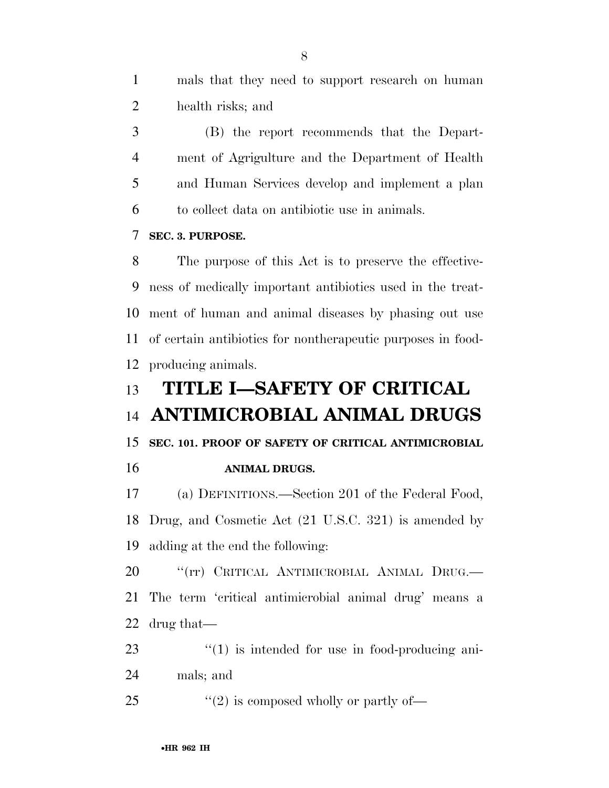mals that they need to support research on human health risks; and

 (B) the report recommends that the Depart- ment of Agrigulture and the Department of Health and Human Services develop and implement a plan to collect data on antibiotic use in animals.

**SEC. 3. PURPOSE.** 

 The purpose of this Act is to preserve the effective- ness of medically important antibiotics used in the treat- ment of human and animal diseases by phasing out use of certain antibiotics for nontherapeutic purposes in food-producing animals.

## **TITLE I—SAFETY OF CRITICAL ANTIMICROBIAL ANIMAL DRUGS**

**SEC. 101. PROOF OF SAFETY OF CRITICAL ANTIMICROBIAL** 

#### **ANIMAL DRUGS.**

 (a) DEFINITIONS.—Section 201 of the Federal Food, Drug, and Cosmetic Act (21 U.S.C. 321) is amended by adding at the end the following:

20 <sup>"</sup>(rr) CRITICAL ANTIMICROBIAL ANIMAL DRUG. The term 'critical antimicrobial animal drug' means a drug that—

- 23  $\frac{1}{2}$  (1) is intended for use in food-producing ani-
- mals; and
- 25  $\frac{1}{2}$   $\frac{1}{2}$  is composed wholly or partly of  $\frac{1}{2}$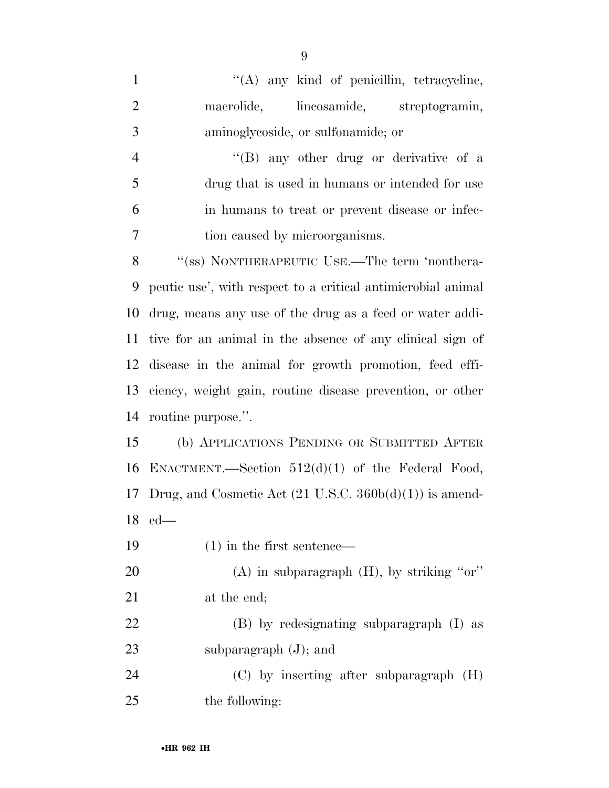| $\mathbf{1}$   | "(A) any kind of penicillin, tetracycline,                         |
|----------------|--------------------------------------------------------------------|
| $\overline{2}$ | lineosamide, streptogramin,<br>macrolide,                          |
| 3              | aminoglycoside, or sulfonamide; or                                 |
| $\overline{4}$ | "(B) any other drug or derivative of a                             |
| 5              | drug that is used in humans or intended for use                    |
| 6              | in humans to treat or prevent disease or infec-                    |
| 7              | tion caused by microorganisms.                                     |
| 8              | "(ss) NONTHERAPEUTIC USE.—The term 'nonthera-                      |
| 9              | peutic use', with respect to a critical antimicrobial animal       |
| 10             | drug, means any use of the drug as a feed or water addi-           |
| 11             | tive for an animal in the absence of any clinical sign of          |
| 12             | disease in the animal for growth promotion, feed effi-             |
| 13             | ciency, weight gain, routine disease prevention, or other          |
| 14             | routine purpose.".                                                 |
| 15             | (b) APPLICATIONS PENDING OR SUBMITTED AFTER                        |
| 16             | ENACTMENT.—Section $512(d)(1)$ of the Federal Food,                |
| 17             | Drug, and Cosmetic Act $(21 \text{ U.S.C. } 360b(d)(1))$ is amend- |
|                | $18$ ed—                                                           |
| 19             | $(1)$ in the first sentence—                                       |
| 20             | (A) in subparagraph $(H)$ , by striking "or"                       |
| 21             | at the end;                                                        |
| 22             | (B) by redesignating subparagraph (I) as                           |
| 23             | subparagraph $(J)$ ; and                                           |

 (C) by inserting after subparagraph (H) the following: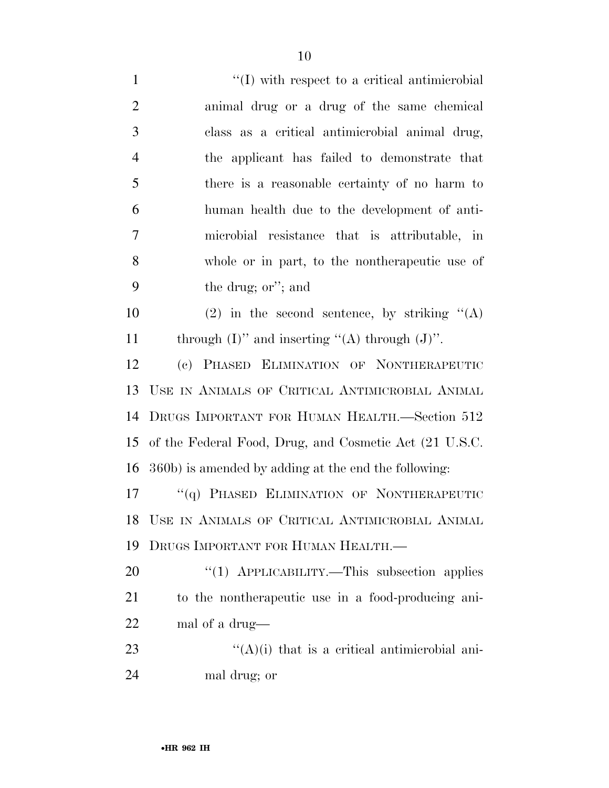| $\mathbf{1}$   | $\lq (I)$ with respect to a critical antimicrobial     |
|----------------|--------------------------------------------------------|
| $\overline{2}$ | animal drug or a drug of the same chemical             |
| 3              | class as a critical antimicrobial animal drug,         |
| $\overline{4}$ | the applicant has failed to demonstrate that           |
| 5              | there is a reasonable certainty of no harm to          |
| 6              | human health due to the development of anti-           |
| 7              | microbial resistance that is attributable, in          |
| 8              | whole or in part, to the nontherapeutic use of         |
| 9              | the drug; or"; and                                     |
| 10             | (2) in the second sentence, by striking $\lq\lq$ (A)   |
| 11             | through $(I)$ " and inserting "(A) through $(J)$ ".    |
| 12             | (c) PHASED ELIMINATION OF NONTHERAPEUTIC               |
| 13             | USE IN ANIMALS OF CRITICAL ANTIMICROBIAL ANIMAL        |
| 14             | DRUGS IMPORTANT FOR HUMAN HEALTH.—Section 512          |
| 15             | of the Federal Food, Drug, and Cosmetic Act (21 U.S.C. |
| 16             | 360b) is amended by adding at the end the following:   |
| 17             | "(q) PHASED ELIMINATION OF NONTHERAPEUTIC              |
| 18             | USE IN ANIMALS OF CRITICAL ANTIMICROBIAL ANIMAL        |
| 19             | DRUGS IMPORTANT FOR HUMAN HEALTH.-                     |
| 20             | "(1) APPLICABILITY.—This subsection applies            |
| 21             | to the nontherapeutic use in a food-producing ani-     |
| 22             | mal of a drug—                                         |
| 23             | $\lq($ A $)($ i) that is a critical antimicrobial ani- |
| 24             | mal drug; or                                           |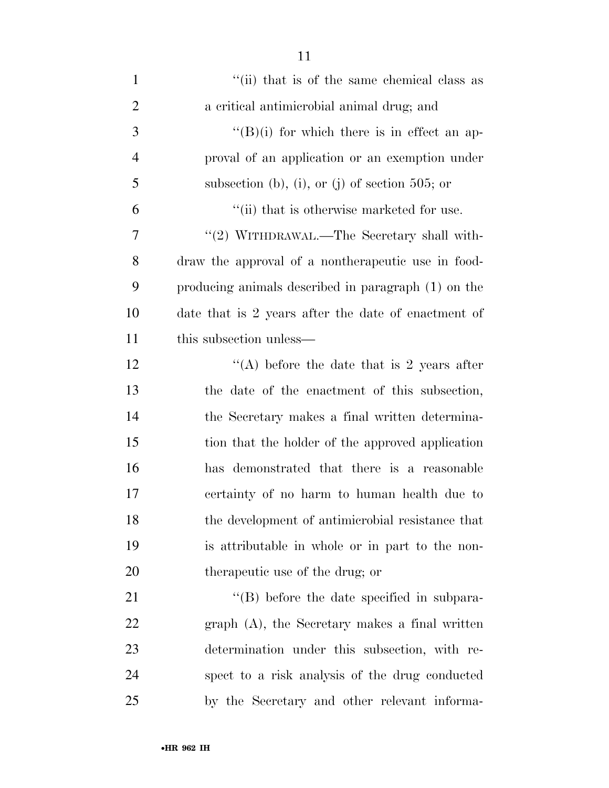| $\mathbf{1}$   | "(ii) that is of the same chemical class as         |
|----------------|-----------------------------------------------------|
| $\overline{2}$ | a critical antimicrobial animal drug; and           |
| 3              | $\lq\lq (B)(i)$ for which there is in effect an ap- |
| $\overline{4}$ | proval of an application or an exemption under      |
| 5              | subsection (b), (i), or (j) of section 505; or      |
| 6              | "(ii) that is otherwise marketed for use.           |
| 7              | "(2) WITHDRAWAL.—The Secretary shall with-          |
| 8              | draw the approval of a nontherapeutic use in food-  |
| 9              | producing animals described in paragraph (1) on the |
| 10             | date that is 2 years after the date of enactment of |
| 11             | this subsection unless—                             |
| 12             | "(A) before the date that is 2 years after          |
| 13             | the date of the enactment of this subsection,       |
| 14             | the Secretary makes a final written determina-      |
| 15             | tion that the holder of the approved application    |
| 16             | has demonstrated that there is a reasonable         |
| 17             | certainty of no harm to human health due to         |
| 18             | the development of antimicrobial resistance that    |
| 19             | is attributable in whole or in part to the non-     |
| 20             | therapeutic use of the drug; or                     |
| 21             | $\lq\lq$ . before the date specified in subpara-    |
| 22             | $graph(A)$ , the Secretary makes a final written    |
| 23             | determination under this subsection, with re-       |
| 24             | spect to a risk analysis of the drug conducted      |
| 25             | by the Secretary and other relevant informa-        |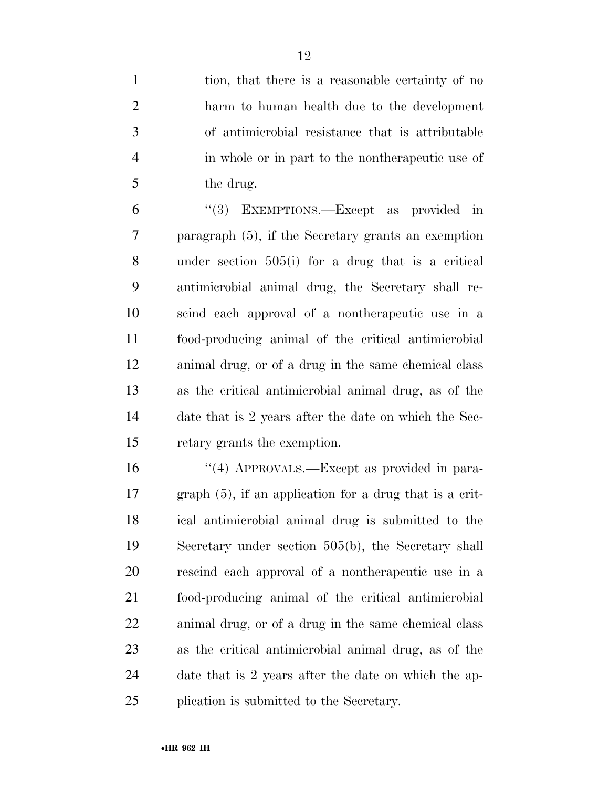| $\mathbf{1}$   | tion, that there is a reasonable certainty of no           |
|----------------|------------------------------------------------------------|
| $\overline{2}$ | harm to human health due to the development                |
| 3              | of antimicrobial resistance that is attributable           |
| $\overline{4}$ | in whole or in part to the nontherapeutic use of           |
| 5              | the drug.                                                  |
| 6              | "(3) EXEMPTIONS.—Except as provided in                     |
| 7              | paragraph $(5)$ , if the Secretary grants an exemption     |
| 8              | under section $505(i)$ for a drug that is a critical       |
| 9              | antimicrobial animal drug, the Secretary shall re-         |
| 10             | scind each approval of a nontherapeutic use in a           |
| 11             | food-producing animal of the critical antimicrobial        |
| 12             | animal drug, or of a drug in the same chemical class       |
| 13             | as the critical antimicrobial animal drug, as of the       |
| 14             | date that is 2 years after the date on which the Sec-      |
| 15             | retary grants the exemption.                               |
| 16             | "(4) APPROVALS.—Except as provided in para-                |
| 17             | graph $(5)$ , if an application for a drug that is a crit- |
| 18             | ical antimicrobial animal drug is submitted to the         |
| 19             | Secretary under section 505(b), the Secretary shall        |
| 20             | rescind each approval of a nontherapeutic use in a         |
| 21             | food-producing animal of the critical antimicrobial        |
| 22             | animal drug, or of a drug in the same chemical class       |
| 23             | as the critical antimicrobial animal drug, as of the       |
| 24             | date that is 2 years after the date on which the ap-       |
| 25             | plication is submitted to the Secretary.                   |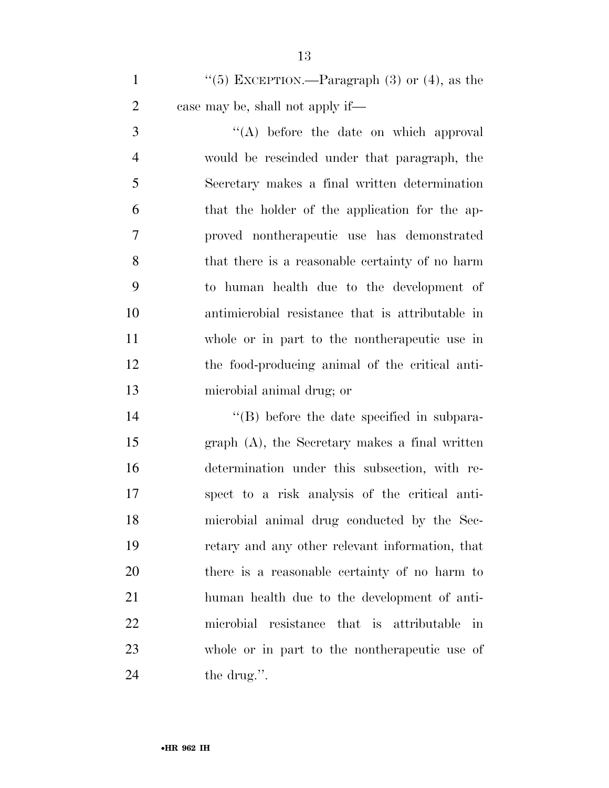1  $\frac{1}{5}$  EXCEPTION.—Paragraph (3) or (4), as the case may be, shall not apply if—

3 ''(A) before the date on which approval would be rescinded under that paragraph, the Secretary makes a final written determination that the holder of the application for the ap- proved nontherapeutic use has demonstrated that there is a reasonable certainty of no harm to human health due to the development of antimicrobial resistance that is attributable in whole or in part to the nontherapeutic use in the food-producing animal of the critical anti-microbial animal drug; or

 $\langle$  (B) before the date specified in subpara- graph (A), the Secretary makes a final written determination under this subsection, with re- spect to a risk analysis of the critical anti- microbial animal drug conducted by the Sec- retary and any other relevant information, that there is a reasonable certainty of no harm to human health due to the development of anti- microbial resistance that is attributable in whole or in part to the nontherapeutic use of 24 the drug.".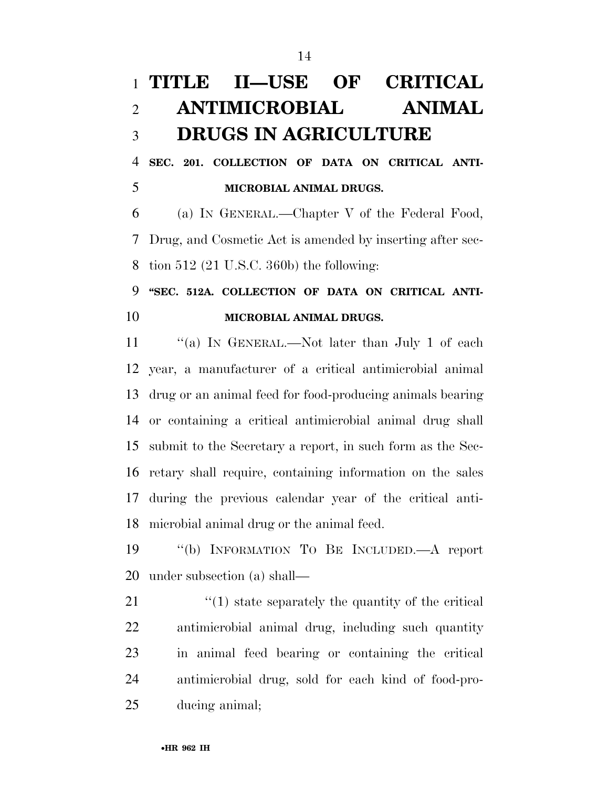## **TITLE II—USE OF CRITICAL ANTIMICROBIAL ANIMAL DRUGS IN AGRICULTURE**

 **SEC. 201. COLLECTION OF DATA ON CRITICAL ANTI-MICROBIAL ANIMAL DRUGS.** 

 (a) IN GENERAL.—Chapter V of the Federal Food, Drug, and Cosmetic Act is amended by inserting after sec-tion 512 (21 U.S.C. 360b) the following:

### **''SEC. 512A. COLLECTION OF DATA ON CRITICAL ANTI-MICROBIAL ANIMAL DRUGS.**

11 "(a) In GENERAL.—Not later than July 1 of each year, a manufacturer of a critical antimicrobial animal drug or an animal feed for food-producing animals bearing or containing a critical antimicrobial animal drug shall submit to the Secretary a report, in such form as the Sec- retary shall require, containing information on the sales during the previous calendar year of the critical anti-microbial animal drug or the animal feed.

 ''(b) INFORMATION TO BE INCLUDED.—A report under subsection (a) shall—

21 ''(1) state separately the quantity of the critical antimicrobial animal drug, including such quantity in animal feed bearing or containing the critical antimicrobial drug, sold for each kind of food-pro-ducing animal;